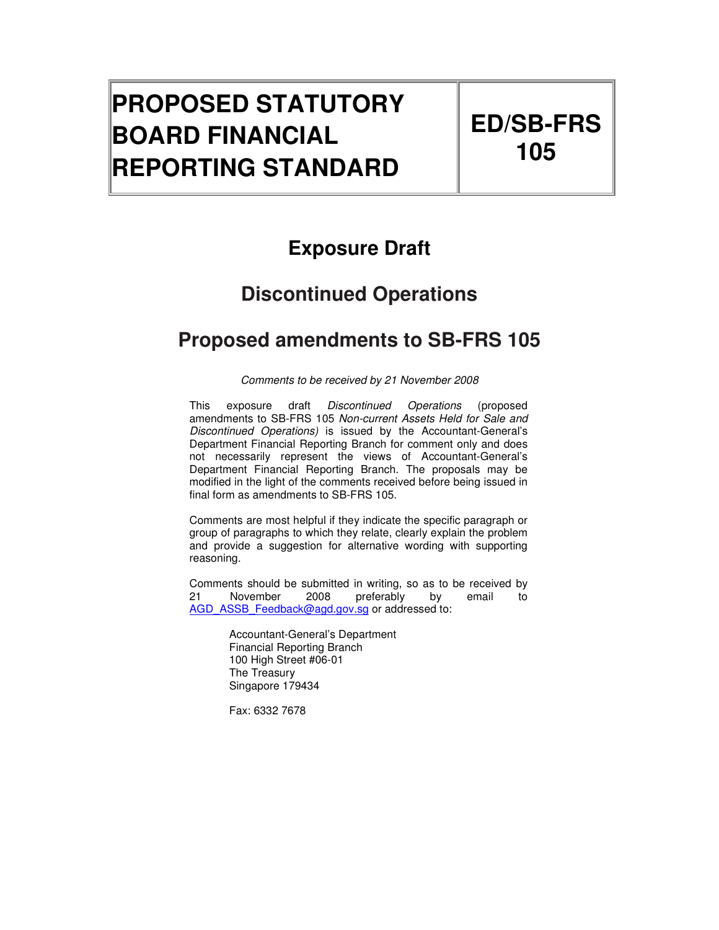# **PROPOSED STATUTORY BOARD FINANCIAL REPORTING STANDARD**

# **Exposure Draft**

# **Discontinued Operations**

# **Proposed amendments to SB-FRS 105**

Comments to be received by 21 November 2008

This exposure draft Discontinued Operations (proposed amendments to SB-FRS 105 Non-current Assets Held for Sale and Discontinued Operations) is issued by the Accountant-General's Department Financial Reporting Branch for comment only and does not necessarily represent the views of Accountant-General's Department Financial Reporting Branch. The proposals may be modified in the light of the comments received before being issued in final form as amendments to SB-FRS 105.

Comments are most helpful if they indicate the specific paragraph or group of paragraphs to which they relate, clearly explain the problem and provide a suggestion for alternative wording with supporting reasoning.

Comments should be submitted in writing, so as to be received by 21 November 2008 preferably by email to AGD\_ASSB\_Feedback@agd.gov.sg or addressed to:

> Accountant-General's Department Financial Reporting Branch 100 High Street #06-01 The Treasury Singapore 179434

Fax: 6332 7678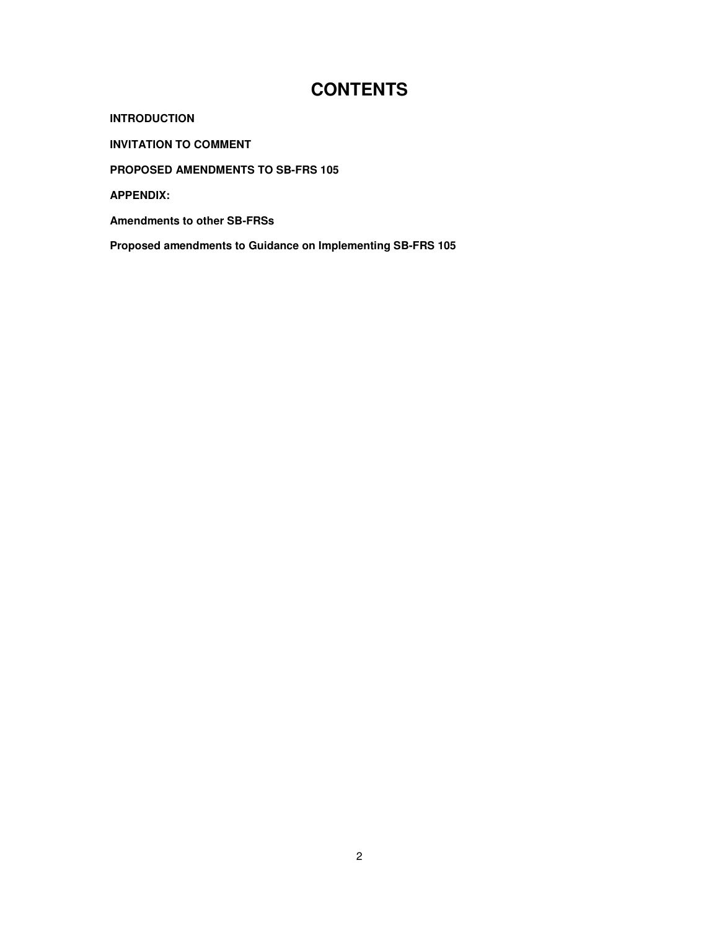# **CONTENTS**

**INTRODUCTION** 

**INVITATION TO COMMENT** 

**PROPOSED AMENDMENTS TO SB-FRS 105** 

**APPENDIX:** 

**Amendments to other SB-FRSs** 

**Proposed amendments to Guidance on Implementing SB-FRS 105**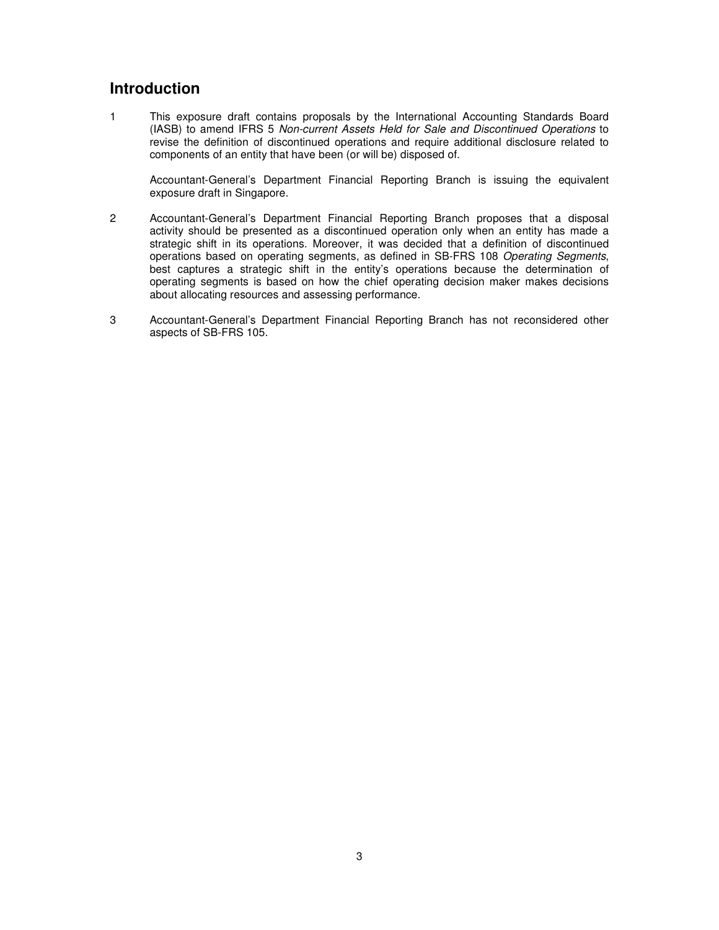## **Introduction**

1 This exposure draft contains proposals by the International Accounting Standards Board (IASB) to amend IFRS 5 Non-current Assets Held for Sale and Discontinued Operations to revise the definition of discontinued operations and require additional disclosure related to components of an entity that have been (or will be) disposed of.

Accountant-General's Department Financial Reporting Branch is issuing the equivalent exposure draft in Singapore.

- 2 Accountant-General's Department Financial Reporting Branch proposes that a disposal activity should be presented as a discontinued operation only when an entity has made a strategic shift in its operations. Moreover, it was decided that a definition of discontinued operations based on operating segments, as defined in SB-FRS 108 Operating Segments, best captures a strategic shift in the entity's operations because the determination of operating segments is based on how the chief operating decision maker makes decisions about allocating resources and assessing performance.
- 3 Accountant-General's Department Financial Reporting Branch has not reconsidered other aspects of SB-FRS 105.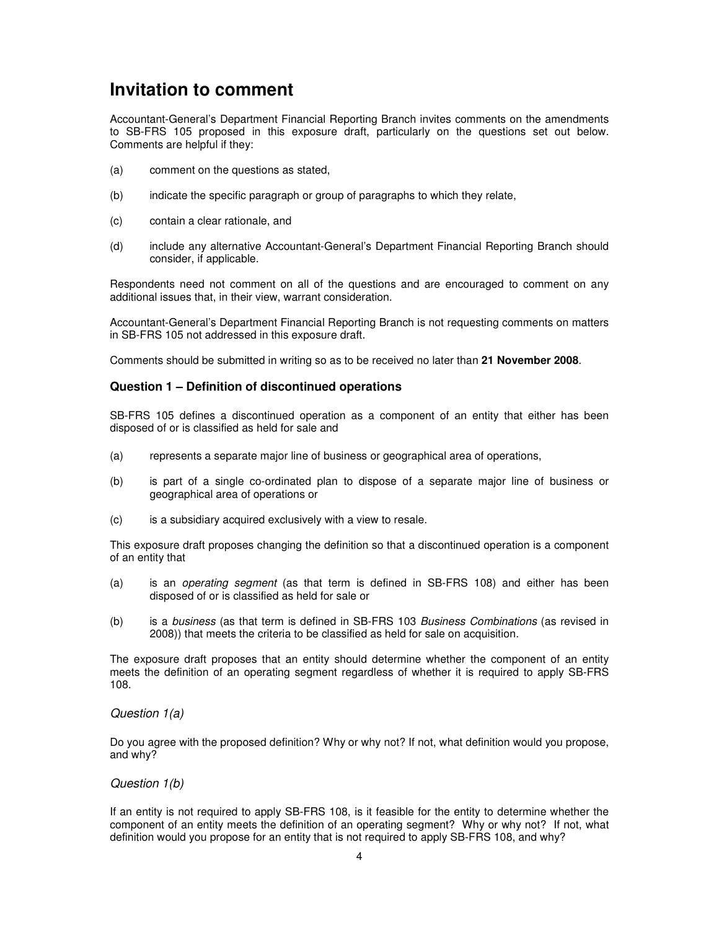## **Invitation to comment**

Accountant-General's Department Financial Reporting Branch invites comments on the amendments to SB-FRS 105 proposed in this exposure draft, particularly on the questions set out below. Comments are helpful if they:

- (a) comment on the questions as stated,
- (b) indicate the specific paragraph or group of paragraphs to which they relate,
- (c) contain a clear rationale, and
- (d) include any alternative Accountant-General's Department Financial Reporting Branch should consider, if applicable.

Respondents need not comment on all of the questions and are encouraged to comment on any additional issues that, in their view, warrant consideration.

Accountant-General's Department Financial Reporting Branch is not requesting comments on matters in SB-FRS 105 not addressed in this exposure draft.

Comments should be submitted in writing so as to be received no later than **21 November 2008**.

#### **Question 1 – Definition of discontinued operations**

SB-FRS 105 defines a discontinued operation as a component of an entity that either has been disposed of or is classified as held for sale and

- (a) represents a separate major line of business or geographical area of operations,
- (b) is part of a single co-ordinated plan to dispose of a separate major line of business or geographical area of operations or
- (c) is a subsidiary acquired exclusively with a view to resale.

This exposure draft proposes changing the definition so that a discontinued operation is a component of an entity that

- (a) is an operating segment (as that term is defined in SB-FRS 108) and either has been disposed of or is classified as held for sale or
- (b) is a business (as that term is defined in SB-FRS 103 Business Combinations (as revised in 2008)) that meets the criteria to be classified as held for sale on acquisition.

The exposure draft proposes that an entity should determine whether the component of an entity meets the definition of an operating segment regardless of whether it is required to apply SB-FRS 108.

## Question 1(a)

Do you agree with the proposed definition? Why or why not? If not, what definition would you propose, and why?

#### Question 1(b)

If an entity is not required to apply SB-FRS 108, is it feasible for the entity to determine whether the component of an entity meets the definition of an operating segment? Why or why not? If not, what definition would you propose for an entity that is not required to apply SB-FRS 108, and why?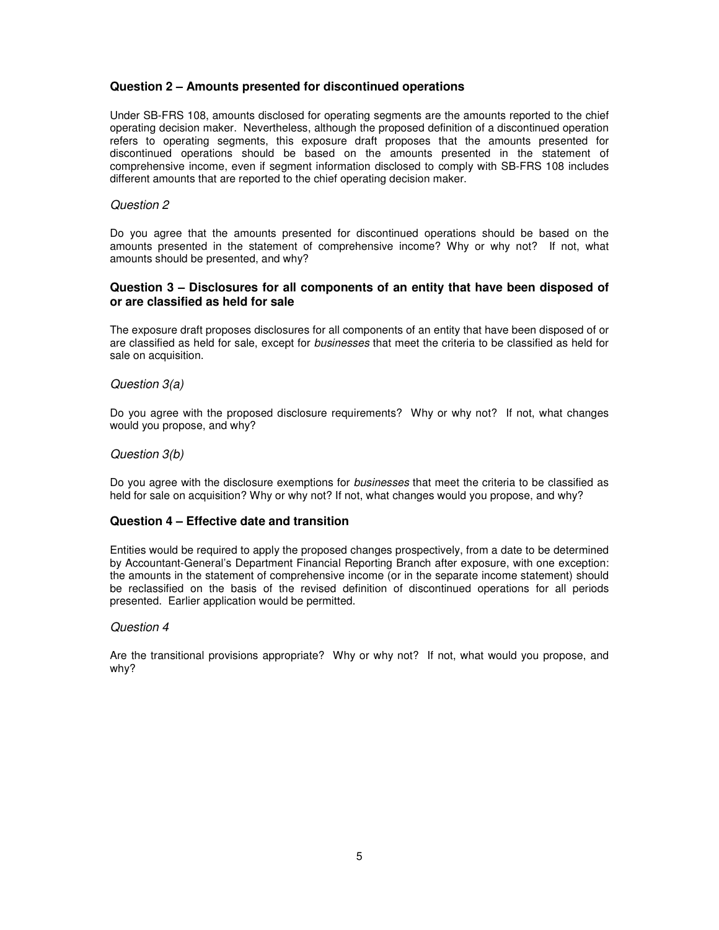## **Question 2 – Amounts presented for discontinued operations**

Under SB-FRS 108, amounts disclosed for operating segments are the amounts reported to the chief operating decision maker. Nevertheless, although the proposed definition of a discontinued operation refers to operating segments, this exposure draft proposes that the amounts presented for discontinued operations should be based on the amounts presented in the statement of comprehensive income, even if segment information disclosed to comply with SB-FRS 108 includes different amounts that are reported to the chief operating decision maker.

#### Question 2

Do you agree that the amounts presented for discontinued operations should be based on the amounts presented in the statement of comprehensive income? Why or why not? If not, what amounts should be presented, and why?

### **Question 3 – Disclosures for all components of an entity that have been disposed of or are classified as held for sale**

The exposure draft proposes disclosures for all components of an entity that have been disposed of or are classified as held for sale, except for businesses that meet the criteria to be classified as held for sale on acquisition.

#### Question 3(a)

Do you agree with the proposed disclosure requirements? Why or why not? If not, what changes would you propose, and why?

#### Question 3(b)

Do you agree with the disclosure exemptions for businesses that meet the criteria to be classified as held for sale on acquisition? Why or why not? If not, what changes would you propose, and why?

### **Question 4 – Effective date and transition**

Entities would be required to apply the proposed changes prospectively, from a date to be determined by Accountant-General's Department Financial Reporting Branch after exposure, with one exception: the amounts in the statement of comprehensive income (or in the separate income statement) should be reclassified on the basis of the revised definition of discontinued operations for all periods presented. Earlier application would be permitted.

## Question 4

Are the transitional provisions appropriate? Why or why not? If not, what would you propose, and why?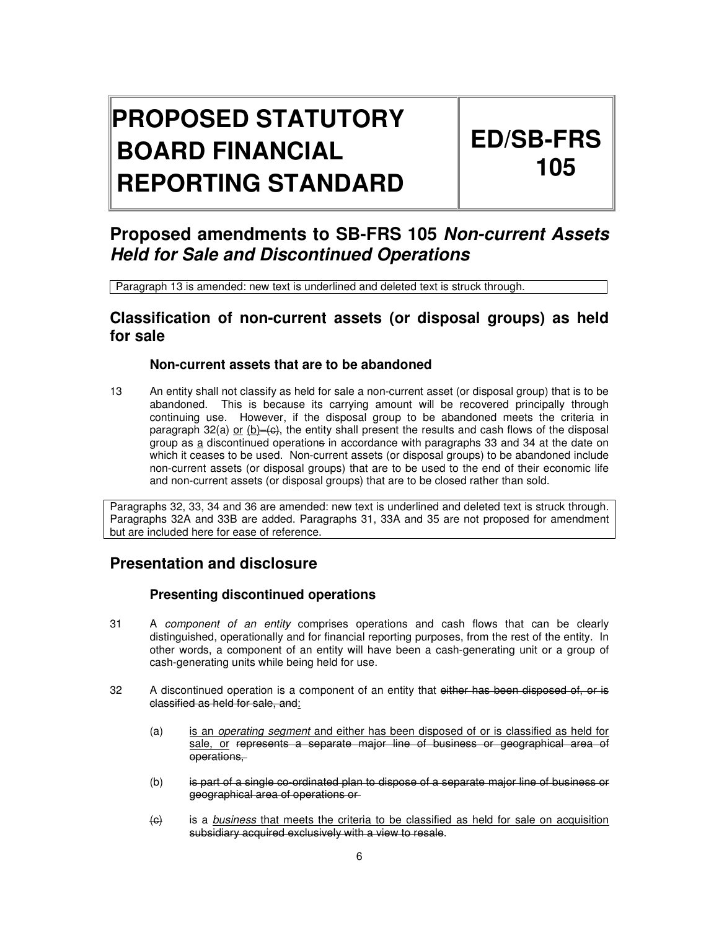# **PROPOSED STATUTORY BOARD FINANCIAL REPORTING STANDARD**

# **ED/SB-FRS 105**

# **Proposed amendments to SB-FRS 105 Non-current Assets Held for Sale and Discontinued Operations**

Paragraph 13 is amended: new text is underlined and deleted text is struck through.

## **Classification of non-current assets (or disposal groups) as held for sale**

## **Non-current assets that are to be abandoned**

13 An entity shall not classify as held for sale a non-current asset (or disposal group) that is to be abandoned. This is because its carrying amount will be recovered principally through continuing use. However, if the disposal group to be abandoned meets the criteria in paragraph 32(a) or  $(b)$ –(c), the entity shall present the results and cash flows of the disposal group as a discontinued operations in accordance with paragraphs 33 and 34 at the date on which it ceases to be used. Non-current assets (or disposal groups) to be abandoned include non-current assets (or disposal groups) that are to be used to the end of their economic life and non-current assets (or disposal groups) that are to be closed rather than sold.

Paragraphs 32, 33, 34 and 36 are amended: new text is underlined and deleted text is struck through. Paragraphs 32A and 33B are added. Paragraphs 31, 33A and 35 are not proposed for amendment but are included here for ease of reference.

## **Presentation and disclosure**

## **Presenting discontinued operations**

- 31 A component of an entity comprises operations and cash flows that can be clearly distinguished, operationally and for financial reporting purposes, from the rest of the entity. In other words, a component of an entity will have been a cash-generating unit or a group of cash-generating units while being held for use.
- 32 A discontinued operation is a component of an entity that either has been disposed of, or is classified as held for sale, and:
	- (a) is an operating segment and either has been disposed of or is classified as held for sale, or represents a separate major line of business or geographical area of operations,
	- (b) is part of a single co-ordinated plan to dispose of a separate major line of business or geographical area of operations or
	- (e) is a business that meets the criteria to be classified as held for sale on acquisition subsidiary acquired exclusively with a view to resale.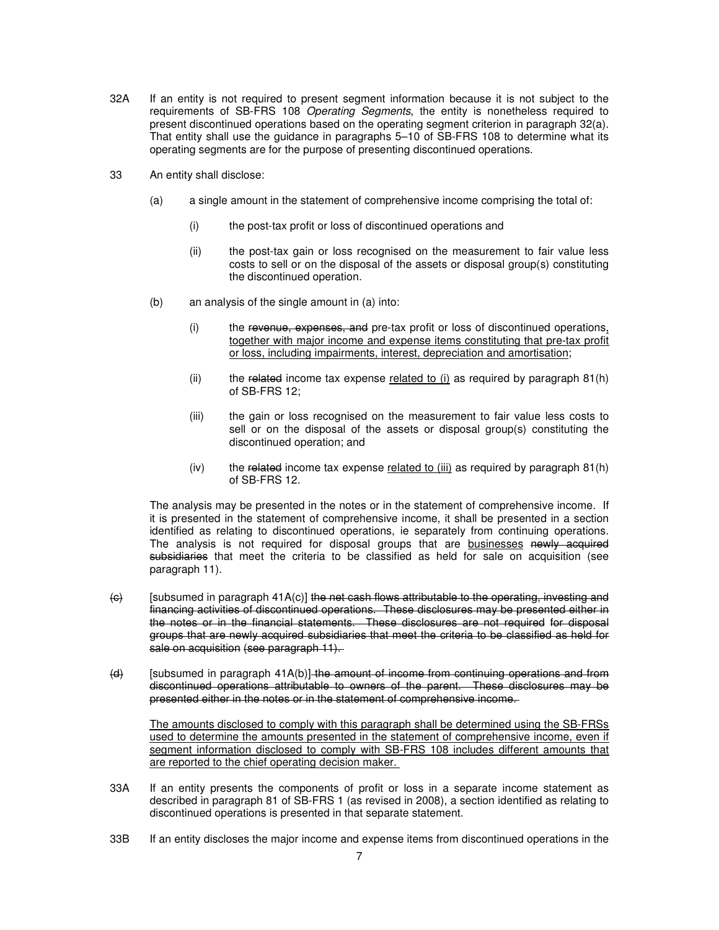- 32A If an entity is not required to present segment information because it is not subject to the requirements of SB-FRS 108 Operating Segments, the entity is nonetheless required to present discontinued operations based on the operating segment criterion in paragraph 32(a). That entity shall use the guidance in paragraphs 5–10 of SB-FRS 108 to determine what its operating segments are for the purpose of presenting discontinued operations.
- 33 An entity shall disclose:
	- (a) a single amount in the statement of comprehensive income comprising the total of:
		- (i) the post-tax profit or loss of discontinued operations and
		- (ii) the post-tax gain or loss recognised on the measurement to fair value less costs to sell or on the disposal of the assets or disposal group(s) constituting the discontinued operation.
	- (b) an analysis of the single amount in (a) into:
		- (i) the revenue, expenses, and pre-tax profit or loss of discontinued operations, together with major income and expense items constituting that pre-tax profit or loss, including impairments, interest, depreciation and amortisation;
		- (ii) the related income tax expense related to (i) as required by paragraph  $81(h)$ of SB-FRS 12;
		- (iii) the gain or loss recognised on the measurement to fair value less costs to sell or on the disposal of the assets or disposal group(s) constituting the discontinued operation; and
		- $(iv)$  the related income tax expense related to (iii) as required by paragraph 81(h) of SB-FRS 12.

 The analysis may be presented in the notes or in the statement of comprehensive income. If it is presented in the statement of comprehensive income, it shall be presented in a section identified as relating to discontinued operations, ie separately from continuing operations. The analysis is not required for disposal groups that are businesses newly acquired subsidiaries that meet the criteria to be classified as held for sale on acquisition (see paragraph 11).

- $\left\langle \Theta \right\rangle$  [subsumed in paragraph 41A(c)] the net cash flows attributable to the operating, investing and financing activities of discontinued operations. These disclosures may be presented either in the notes or in the financial statements. These disclosures are not required for disposal groups that are newly acquired subsidiaries that meet the criteria to be classified as held for sale on acquisition (see paragraph 11).
- $(d)$  [subsumed in paragraph 41A(b)] the amount of income from continuing operations and from discontinued operations attributable to owners of the parent. These disclosures may be presented either in the notes or in the statement of comprehensive income.

 The amounts disclosed to comply with this paragraph shall be determined using the SB-FRSs used to determine the amounts presented in the statement of comprehensive income, even if segment information disclosed to comply with SB-FRS 108 includes different amounts that are reported to the chief operating decision maker.

- 33A If an entity presents the components of profit or loss in a separate income statement as described in paragraph 81 of SB-FRS 1 (as revised in 2008), a section identified as relating to discontinued operations is presented in that separate statement.
- 33B If an entity discloses the major income and expense items from discontinued operations in the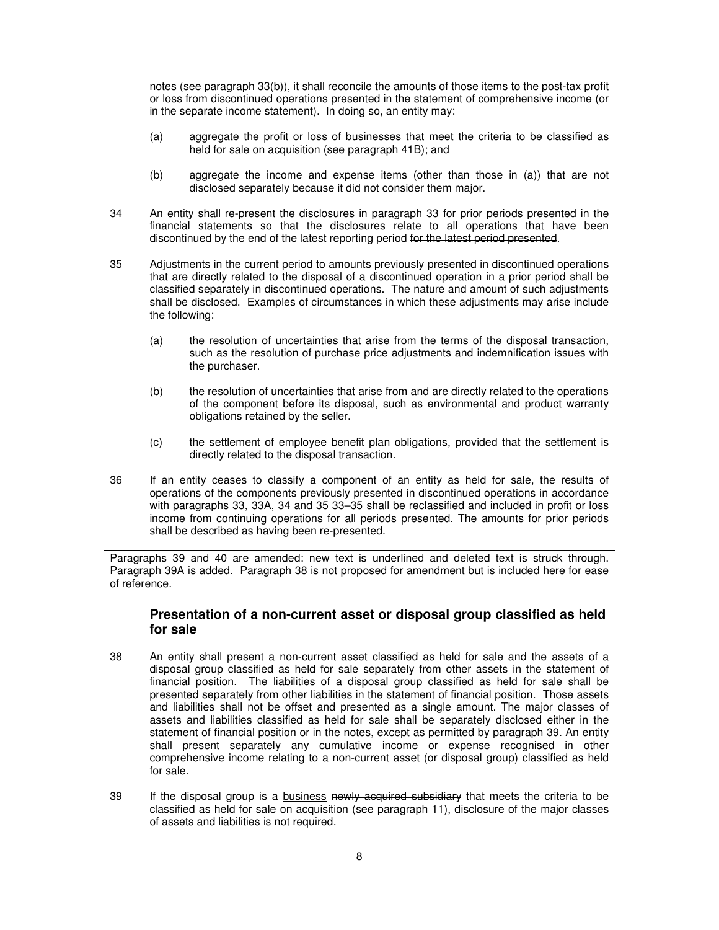notes (see paragraph 33(b)), it shall reconcile the amounts of those items to the post-tax profit or loss from discontinued operations presented in the statement of comprehensive income (or in the separate income statement). In doing so, an entity may:

- (a) aggregate the profit or loss of businesses that meet the criteria to be classified as held for sale on acquisition (see paragraph 41B); and
- (b) aggregate the income and expense items (other than those in (a)) that are not disclosed separately because it did not consider them major.
- 34 An entity shall re-present the disclosures in paragraph 33 for prior periods presented in the financial statements so that the disclosures relate to all operations that have been discontinued by the end of the latest reporting period for the latest period presented.
- 35 Adjustments in the current period to amounts previously presented in discontinued operations that are directly related to the disposal of a discontinued operation in a prior period shall be classified separately in discontinued operations. The nature and amount of such adjustments shall be disclosed. Examples of circumstances in which these adjustments may arise include the following:
	- (a) the resolution of uncertainties that arise from the terms of the disposal transaction, such as the resolution of purchase price adjustments and indemnification issues with the purchaser.
	- (b) the resolution of uncertainties that arise from and are directly related to the operations of the component before its disposal, such as environmental and product warranty obligations retained by the seller.
	- (c) the settlement of employee benefit plan obligations, provided that the settlement is directly related to the disposal transaction.
- 36 If an entity ceases to classify a component of an entity as held for sale, the results of operations of the components previously presented in discontinued operations in accordance with paragraphs 33, 33A, 34 and 35 33–35 shall be reclassified and included in profit or loss income from continuing operations for all periods presented. The amounts for prior periods shall be described as having been re-presented.

Paragraphs 39 and 40 are amended: new text is underlined and deleted text is struck through. Paragraph 39A is added. Paragraph 38 is not proposed for amendment but is included here for ease of reference.

## **Presentation of a non-current asset or disposal group classified as held for sale**

- 38 An entity shall present a non-current asset classified as held for sale and the assets of a disposal group classified as held for sale separately from other assets in the statement of financial position. The liabilities of a disposal group classified as held for sale shall be presented separately from other liabilities in the statement of financial position. Those assets and liabilities shall not be offset and presented as a single amount. The major classes of assets and liabilities classified as held for sale shall be separately disclosed either in the statement of financial position or in the notes, except as permitted by paragraph 39. An entity shall present separately any cumulative income or expense recognised in other comprehensive income relating to a non-current asset (or disposal group) classified as held for sale.
- 39 If the disposal group is a business newly acquired subsidiary that meets the criteria to be classified as held for sale on acquisition (see paragraph 11), disclosure of the major classes of assets and liabilities is not required.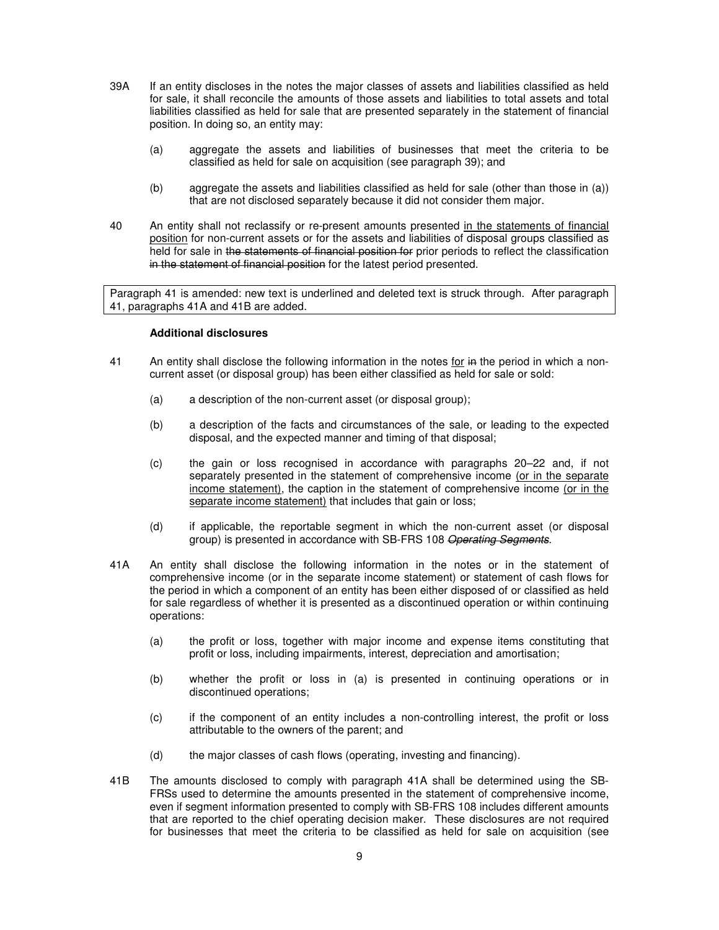- 39A If an entity discloses in the notes the major classes of assets and liabilities classified as held for sale, it shall reconcile the amounts of those assets and liabilities to total assets and total liabilities classified as held for sale that are presented separately in the statement of financial position. In doing so, an entity may:
	- (a) aggregate the assets and liabilities of businesses that meet the criteria to be classified as held for sale on acquisition (see paragraph 39); and
	- (b) aggregate the assets and liabilities classified as held for sale (other than those in (a)) that are not disclosed separately because it did not consider them major.
- 40 An entity shall not reclassify or re-present amounts presented in the statements of financial position for non-current assets or for the assets and liabilities of disposal groups classified as held for sale in the statements of financial position for prior periods to reflect the classification in the statement of financial position for the latest period presented.

Paragraph 41 is amended: new text is underlined and deleted text is struck through. After paragraph 41, paragraphs 41A and 41B are added.

#### **Additional disclosures**

- 41 An entity shall disclose the following information in the notes for in the period in which a noncurrent asset (or disposal group) has been either classified as held for sale or sold:
	- (a) a description of the non-current asset (or disposal group);
	- (b) a description of the facts and circumstances of the sale, or leading to the expected disposal, and the expected manner and timing of that disposal;
	- (c) the gain or loss recognised in accordance with paragraphs 20–22 and, if not separately presented in the statement of comprehensive income (or in the separate income statement), the caption in the statement of comprehensive income (or in the separate income statement) that includes that gain or loss;
	- (d) if applicable, the reportable segment in which the non-current asset (or disposal group) is presented in accordance with SB-FRS 108 Operating Segments.
- 41A An entity shall disclose the following information in the notes or in the statement of comprehensive income (or in the separate income statement) or statement of cash flows for the period in which a component of an entity has been either disposed of or classified as held for sale regardless of whether it is presented as a discontinued operation or within continuing operations:
	- (a) the profit or loss, together with major income and expense items constituting that profit or loss, including impairments, interest, depreciation and amortisation;
	- (b) whether the profit or loss in (a) is presented in continuing operations or in discontinued operations;
	- (c) if the component of an entity includes a non-controlling interest, the profit or loss attributable to the owners of the parent; and
	- (d) the major classes of cash flows (operating, investing and financing).
- 41B The amounts disclosed to comply with paragraph 41A shall be determined using the SB-FRSs used to determine the amounts presented in the statement of comprehensive income, even if segment information presented to comply with SB-FRS 108 includes different amounts that are reported to the chief operating decision maker. These disclosures are not required for businesses that meet the criteria to be classified as held for sale on acquisition (see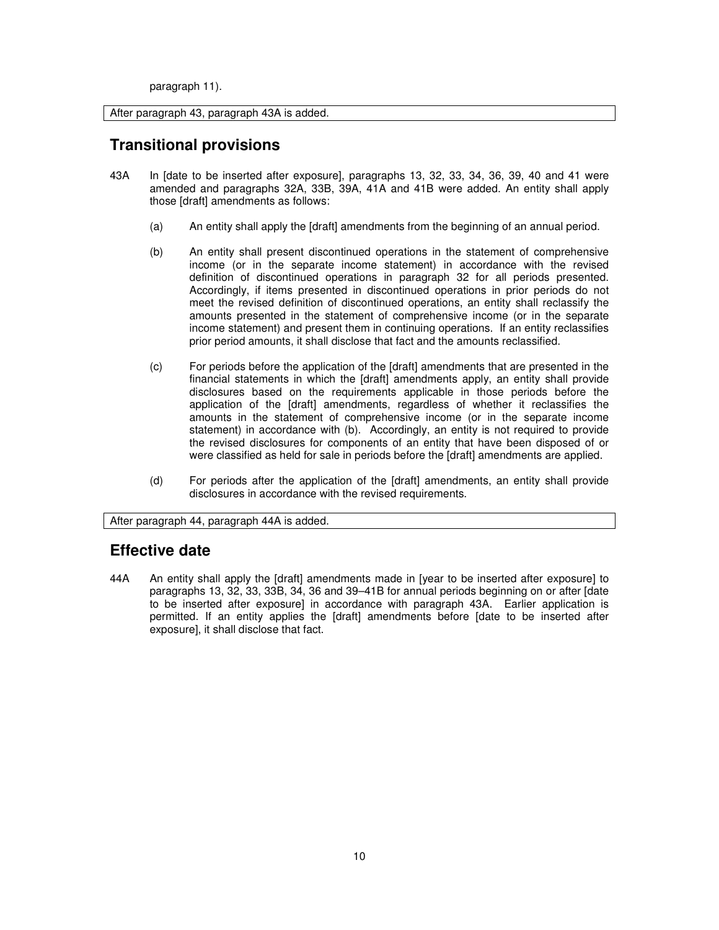paragraph 11).

After paragraph 43, paragraph 43A is added.

## **Transitional provisions**

- 43A In [date to be inserted after exposure], paragraphs 13, 32, 33, 34, 36, 39, 40 and 41 were amended and paragraphs 32A, 33B, 39A, 41A and 41B were added. An entity shall apply those [draft] amendments as follows:
	- (a) An entity shall apply the [draft] amendments from the beginning of an annual period.
	- (b) An entity shall present discontinued operations in the statement of comprehensive income (or in the separate income statement) in accordance with the revised definition of discontinued operations in paragraph 32 for all periods presented. Accordingly, if items presented in discontinued operations in prior periods do not meet the revised definition of discontinued operations, an entity shall reclassify the amounts presented in the statement of comprehensive income (or in the separate income statement) and present them in continuing operations. If an entity reclassifies prior period amounts, it shall disclose that fact and the amounts reclassified.
	- (c) For periods before the application of the [draft] amendments that are presented in the financial statements in which the [draft] amendments apply, an entity shall provide disclosures based on the requirements applicable in those periods before the application of the [draft] amendments, regardless of whether it reclassifies the amounts in the statement of comprehensive income (or in the separate income statement) in accordance with (b). Accordingly, an entity is not required to provide the revised disclosures for components of an entity that have been disposed of or were classified as held for sale in periods before the [draft] amendments are applied.
	- (d) For periods after the application of the [draft] amendments, an entity shall provide disclosures in accordance with the revised requirements.

After paragraph 44, paragraph 44A is added.

## **Effective date**

44A An entity shall apply the [draft] amendments made in [year to be inserted after exposure] to paragraphs 13, 32, 33, 33B, 34, 36 and 39–41B for annual periods beginning on or after [date to be inserted after exposure] in accordance with paragraph 43A. Earlier application is permitted. If an entity applies the [draft] amendments before [date to be inserted after exposure], it shall disclose that fact.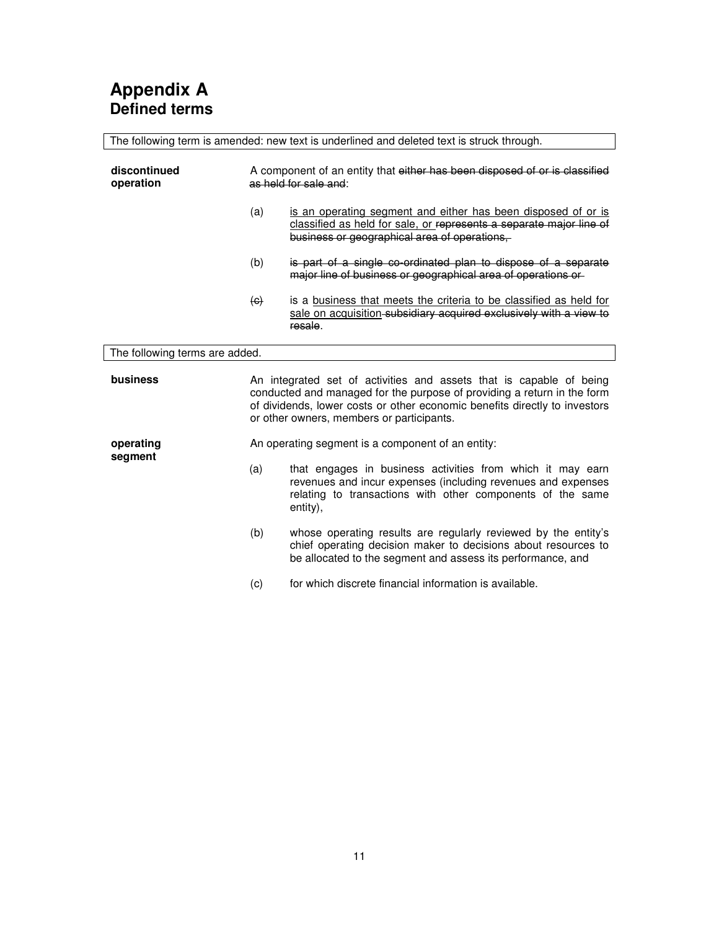| The following term is amended: new text is underlined and deleted text is struck through. |                                                                                                                                                                                                                                                                           |                                                                                                                                                                                                      |
|-------------------------------------------------------------------------------------------|---------------------------------------------------------------------------------------------------------------------------------------------------------------------------------------------------------------------------------------------------------------------------|------------------------------------------------------------------------------------------------------------------------------------------------------------------------------------------------------|
| discontinued<br>operation                                                                 | A component of an entity that either has been disposed of or is classified<br>as held for sale and:                                                                                                                                                                       |                                                                                                                                                                                                      |
|                                                                                           | (a)                                                                                                                                                                                                                                                                       | is an operating segment and either has been disposed of or is<br>classified as held for sale, or represents a separate major line of<br>business or geographical area of operations,                 |
|                                                                                           | (b)                                                                                                                                                                                                                                                                       | is part of a single co-ordinated plan to dispose of a separate<br>major line of business or geographical area of operations or                                                                       |
|                                                                                           | $\left( \Theta \right)$                                                                                                                                                                                                                                                   | is a business that meets the criteria to be classified as held for<br>sale on acquisition-subsidiary acquired exclusively with a view to<br>resale.                                                  |
| The following terms are added.                                                            |                                                                                                                                                                                                                                                                           |                                                                                                                                                                                                      |
| business                                                                                  | An integrated set of activities and assets that is capable of being<br>conducted and managed for the purpose of providing a return in the form<br>of dividends, lower costs or other economic benefits directly to investors<br>or other owners, members or participants. |                                                                                                                                                                                                      |
| operating                                                                                 | An operating segment is a component of an entity:                                                                                                                                                                                                                         |                                                                                                                                                                                                      |
| segment                                                                                   | (a)                                                                                                                                                                                                                                                                       | that engages in business activities from which it may earn<br>revenues and incur expenses (including revenues and expenses<br>relating to transactions with other components of the same<br>entity), |
|                                                                                           | (b)                                                                                                                                                                                                                                                                       | whose operating results are regularly reviewed by the entity's<br>chief operating decision maker to decisions about resources to<br>be allocated to the segment and assess its performance, and      |
|                                                                                           | (c)                                                                                                                                                                                                                                                                       | for which discrete financial information is available.                                                                                                                                               |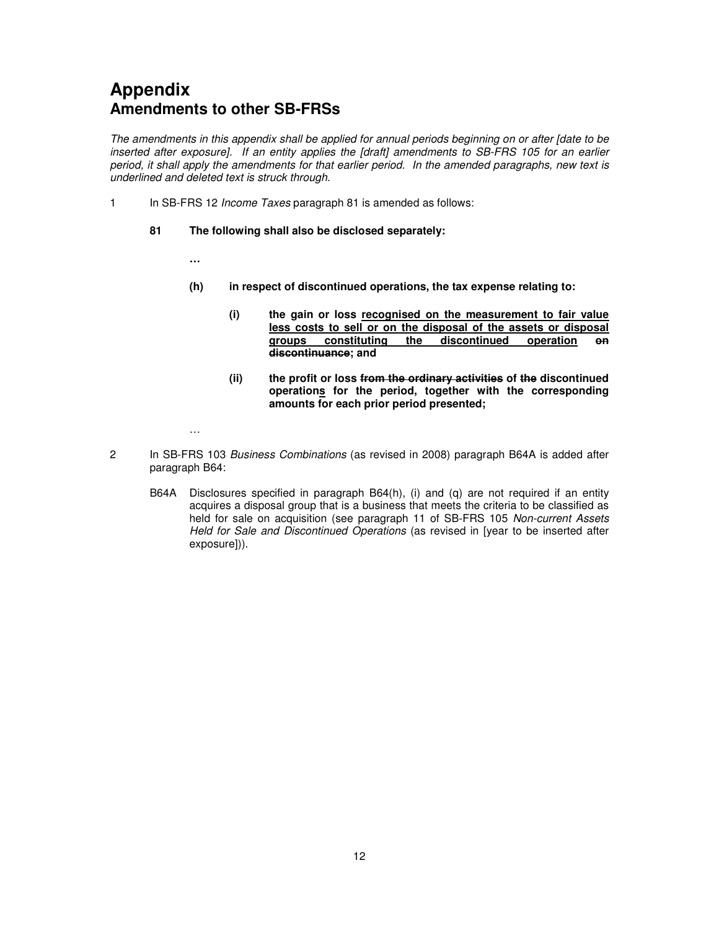# **Appendix Amendments to other SB-FRSs**

The amendments in this appendix shall be applied for annual periods beginning on or after [date to be inserted after exposure]. If an entity applies the [draft] amendments to SB-FRS 105 for an earlier period, it shall apply the amendments for that earlier period. In the amended paragraphs, new text is underlined and deleted text is struck through.

1 In SB-FRS 12 *Income Taxes* paragraph 81 is amended as follows:

### **81 The following shall also be disclosed separately:**

**…** 

- **(h) in respect of discontinued operations, the tax expense relating to:** 
	- **(i) the gain or loss recognised on the measurement to fair value less costs to sell or on the disposal of the assets or disposal groups constituting the discontinued operation on discontinuance; and**
	- **(ii) the profit or loss from the ordinary activities of the discontinued operations for the period, together with the corresponding amounts for each prior period presented;**

…

- 2 In SB-FRS 103 Business Combinations (as revised in 2008) paragraph B64A is added after paragraph B64:
	- B64A Disclosures specified in paragraph B64(h), (i) and (q) are not required if an entity acquires a disposal group that is a business that meets the criteria to be classified as held for sale on acquisition (see paragraph 11 of SB-FRS 105 Non-current Assets Held for Sale and Discontinued Operations (as revised in [year to be inserted after exposure])).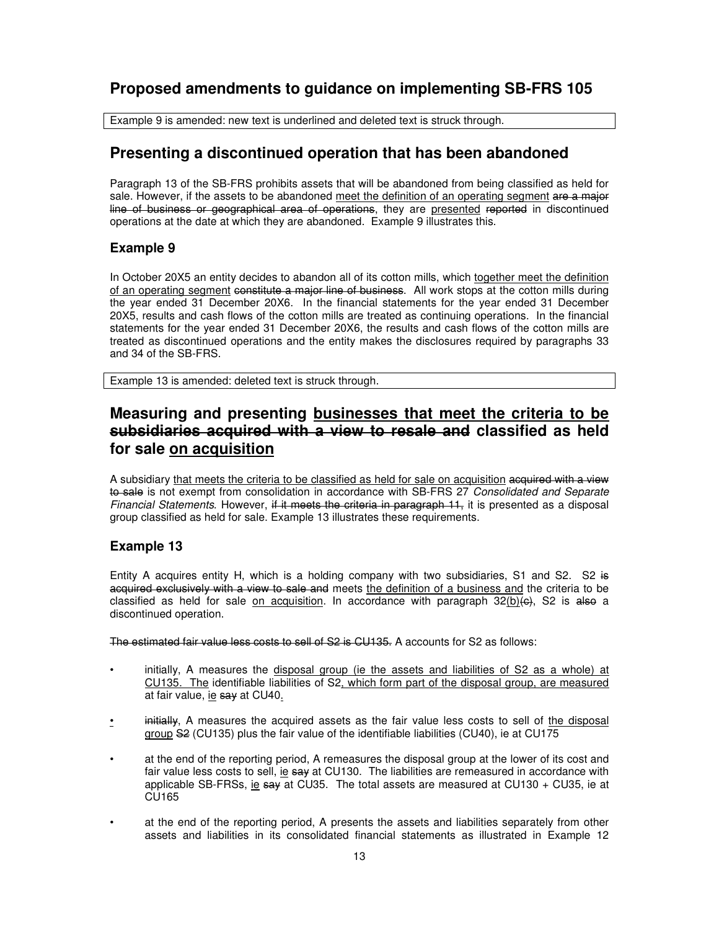## **Proposed amendments to guidance on implementing SB-FRS 105**

Example 9 is amended: new text is underlined and deleted text is struck through.

## **Presenting a discontinued operation that has been abandoned**

Paragraph 13 of the SB-FRS prohibits assets that will be abandoned from being classified as held for sale. However, if the assets to be abandoned meet the definition of an operating segment are a major line of business or geographical area of operations, they are presented reported in discontinued operations at the date at which they are abandoned. Example 9 illustrates this.

## **Example 9**

In October 20X5 an entity decides to abandon all of its cotton mills, which together meet the definition of an operating segment constitute a major line of business. All work stops at the cotton mills during the year ended 31 December 20X6. In the financial statements for the year ended 31 December 20X5, results and cash flows of the cotton mills are treated as continuing operations. In the financial statements for the year ended 31 December 20X6, the results and cash flows of the cotton mills are treated as discontinued operations and the entity makes the disclosures required by paragraphs 33 and 34 of the SB-FRS.

Example 13 is amended: deleted text is struck through.

## **Measuring and presenting businesses that meet the criteria to be subsidiaries acquired with a view to resale and classified as held for sale on acquisition**

A subsidiary that meets the criteria to be classified as held for sale on acquisition acquired with a view to sale is not exempt from consolidation in accordance with SB-FRS 27 Consolidated and Separate Financial Statements. However, if it meets the criteria in paragraph 11, it is presented as a disposal group classified as held for sale. Example 13 illustrates these requirements.

## **Example 13**

Entity A acquires entity H, which is a holding company with two subsidiaries, S1 and S2. S2 is acquired exclusively with a view to sale and meets the definition of a business and the criteria to be classified as held for sale on acquisition. In accordance with paragraph 32(b)(e), S2 is also a discontinued operation.

The estimated fair value less costs to sell of S2 is CU135. A accounts for S2 as follows:

- initially, A measures the disposal group (ie the assets and liabilities of S2 as a whole) at CU135. The identifiable liabilities of S2, which form part of the disposal group, are measured at fair value, ie say at CU40.
- initially, A measures the acquired assets as the fair value less costs to sell of the disposal group S2 (CU135) plus the fair value of the identifiable liabilities (CU40), ie at CU175
- at the end of the reporting period, A remeasures the disposal group at the lower of its cost and fair value less costs to sell, ie say at CU130. The liabilities are remeasured in accordance with applicable SB-FRSs, ie say at CU35. The total assets are measured at CU130 + CU35, ie at CU165
- at the end of the reporting period, A presents the assets and liabilities separately from other assets and liabilities in its consolidated financial statements as illustrated in Example 12